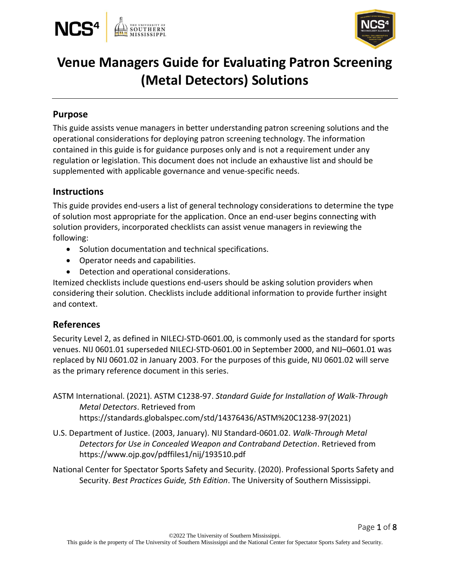



# **Venue Managers Guide for Evaluating Patron Screening (Metal Detectors) Solutions**

### **Purpose**

This guide assists venue managers in better understanding patron screening solutions and the operational considerations for deploying patron screening technology. The information contained in this guide is for guidance purposes only and is not a requirement under any regulation or legislation. This document does not include an exhaustive list  $\delta \mathbf{\mathsf{E}}$  and should be supplemented with applicable governance and venue-specific needs.

### **Instructions**

This guide provides end-users a list of general technology considerations to determine the type of solution most appropriate for the application. Once an end-user begins connecting with solution providers, incorporated checklists can assist venue managers in reviewing the following:

- Solution documentation and technical specifications.
- Operator needs and capabilities.
- Detection and operational considerations.

Itemized checklists include questions end-users should be asking solution providers when considering their solution. Checklists include additional information to provide further insight and context.

### **References**

Security Level 2, as defined in NILECJ-STD-0601.00, is commonly used as the standard for sports venues. NIJ 0601.01 superseded NILECJ-STD-0601.00 in September 2000, and NIJ–0601.01 was replaced by NIJ 0601.02 in January 2003. For the purposes of this guide, NIJ 0601.02 will serve as the primary reference document in this series.

- ASTM International. (2021). ASTM C1238-97. *Standard Guide for Installation of Walk-Through Metal Detectors*. Retrieved from https://standards.globalspec.com/std/14376436/ASTM%20C1238-97(2021)
- U.S. Department of Justice. (2003, January). NIJ Standard-0601.02. *Walk-Through Metal Detectors for Use in Concealed Weapon and Contraband Detection*. Retrieved from https://www.ojp.gov/pdffiles1/nij/193510.pdf
- National Center for Spectator Sports Safety and Security. (2020). Professional Sports Safety and Security. *Best Practices Guide, 5th Edition*. The University of Southern Mississippi.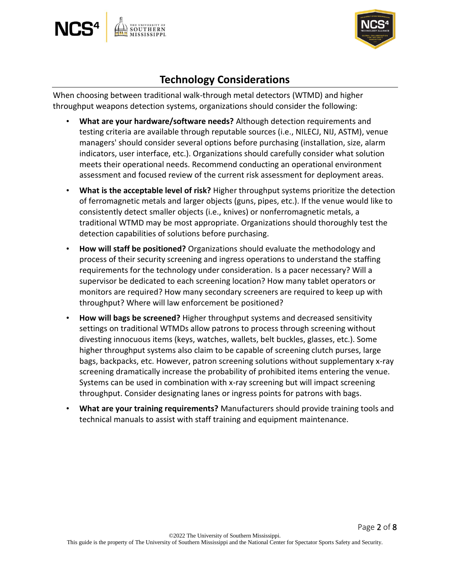



Page 2 of 8

### **Technology Considerations**

When choosing between traditional walk-through metal detectors (WTMD) and higher throughput weapons detection systems, organizations should consider the following:

- **What are your hardware/software needs?** Although detection requirements and testing criteria are available through reputable sources (i.e., NILECJ, NIJ, ASTM), venue managers' should consider several options before purchasing (installation, size, alarm indicators, user interface, etc.). Organizations should carefully consider what solution meets their operational needs. Recommend conducting an operational environment assessment and focused review of the current risk assessment for deployment areas.
- **What is the acceptable level of risk?** Higher throughput systems prioritize the detection of ferromagnetic metals and larger objects (guns, pipes, etc.). If the venue would like to consistently detect smaller objects (i.e., knives) or nonferromagnetic metals, a traditional WTMD may be most appropriate. Organizations should thoroughly test the detection capabilities of solutions before purchasing.
- **How will staff be positioned?** Organizations should evaluate the methodology and process of their security screening and ingress operations to understand the staffing requirements for the technology under consideration. Is a pacer necessary? Will a supervisor be dedicated to each screening location? How many tablet operators or monitors are required? How many secondary screeners are required to keep up with throughput? Where will law enforcement be positioned?
- **How will bags be screened?** Higher throughput systems and decreased sensitivity settings on traditional WTMDs allow patrons to process through screening without divesting innocuous items (keys, watches, wallets, belt buckles, glasses, etc.). Some higher throughput systems also claim to be capable of screening clutch purses, large bags, backpacks, etc. However, patron screening solutions without supplementary x-ray screening dramatically increase the probability of prohibited items entering the venue. Systems can be used in combination with x-ray screening but will impact screening throughput. Consider designating lanes or ingress points for patrons with bags.
- **What are your training requirements?** Manufacturers should provide training tools and technical manuals to assist with staff training and equipment maintenance.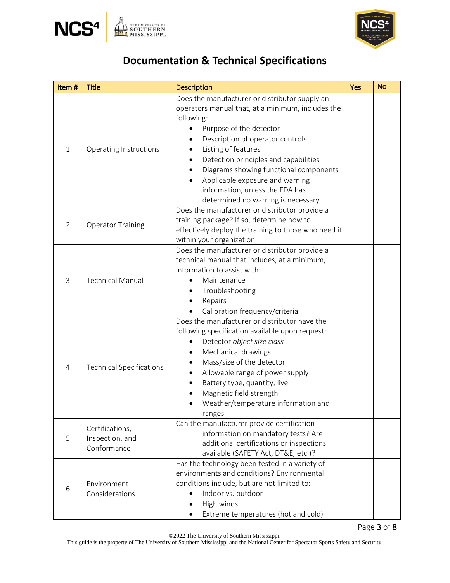



# **Documentation & Technical Specifications**

| Item#          | <b>Title</b>                                      | <b>Description</b>                                                                                                                                                                                                                                                                                                                                                                                                               | <b>Yes</b> | <b>No</b> |
|----------------|---------------------------------------------------|----------------------------------------------------------------------------------------------------------------------------------------------------------------------------------------------------------------------------------------------------------------------------------------------------------------------------------------------------------------------------------------------------------------------------------|------------|-----------|
| 1              | Operating Instructions                            | Does the manufacturer or distributor supply an<br>operators manual that, at a minimum, includes the<br>following:<br>Purpose of the detector<br>$\bullet$<br>Description of operator controls<br>Listing of features<br>Detection principles and capabilities<br>$\bullet$<br>Diagrams showing functional components<br>Applicable exposure and warning<br>information, unless the FDA has<br>determined no warning is necessary |            |           |
| $\overline{2}$ | <b>Operator Training</b>                          | Does the manufacturer or distributor provide a<br>training package? If so, determine how to<br>effectively deploy the training to those who need it<br>within your organization.                                                                                                                                                                                                                                                 |            |           |
| 3              | <b>Technical Manual</b>                           | Does the manufacturer or distributor provide a<br>technical manual that includes, at a minimum,<br>information to assist with:<br>Maintenance<br>Troubleshooting<br>Repairs<br>Calibration frequency/criteria                                                                                                                                                                                                                    |            |           |
| 4              | <b>Technical Specifications</b>                   | Does the manufacturer or distributor have the<br>following specification available upon request:<br>Detector object size class<br>$\bullet$<br>Mechanical drawings<br>$\bullet$<br>Mass/size of the detector<br>Allowable range of power supply<br>$\bullet$<br>Battery type, quantity, live<br>Magnetic field strength<br>Weather/temperature information and<br>ranges                                                         |            |           |
| 5              | Certifications,<br>Inspection, and<br>Conformance | Can the manufacturer provide certification<br>information on mandatory tests? Are<br>additional certifications or inspections<br>available (SAFETY Act, DT&E, etc.)?                                                                                                                                                                                                                                                             |            |           |
| 6              | Environment<br>Considerations                     | Has the technology been tested in a variety of<br>environments and conditions? Environmental<br>conditions include, but are not limited to:<br>Indoor vs. outdoor<br>High winds<br>$\bullet$<br>Extreme temperatures (hot and cold)                                                                                                                                                                                              |            |           |

©2022 The University of Southern Mississippi.

This guide is the property of The University of Southern Mississippi and the National Center for Spectator Sports Safety and Security.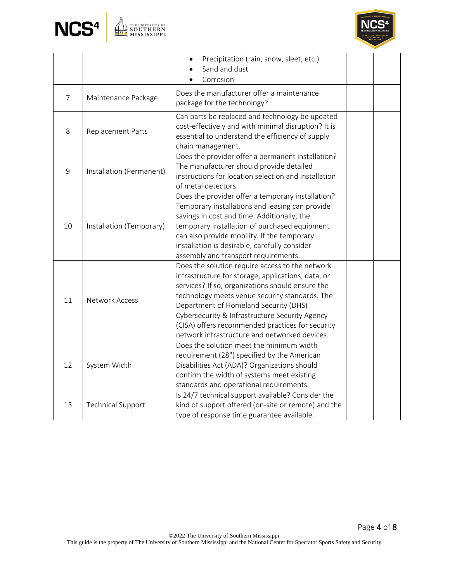



|    |                          | Precipitation (rain, snow, sleet, etc.)<br>$\bullet$<br>Sand and dust<br>Corrosion                                                                                                                                                                                                                                                                                                                          |  |
|----|--------------------------|-------------------------------------------------------------------------------------------------------------------------------------------------------------------------------------------------------------------------------------------------------------------------------------------------------------------------------------------------------------------------------------------------------------|--|
| 7  | Maintenance Package      | Does the manufacturer offer a maintenance<br>package for the technology?                                                                                                                                                                                                                                                                                                                                    |  |
| 8  | Replacement Parts        | Can parts be replaced and technology be updated<br>cost-effectively and with minimal disruption? It is<br>essential to understand the efficiency of supply<br>chain management.                                                                                                                                                                                                                             |  |
| 9  | Installation (Permanent) | Does the provider offer a permanent installation?<br>The manufacturer should provide detailed<br>instructions for location selection and installation<br>of metal detectors.                                                                                                                                                                                                                                |  |
| 10 | Installation (Temporary) | Does the provider offer a temporary installation?<br>Temporary installations and leasing can provide<br>savings in cost and time. Additionally, the<br>temporary installation of purchased equipment<br>can also provide mobility. If the temporary<br>installation is desirable, carefully consider<br>assembly and transport requirements.                                                                |  |
| 11 | <b>Network Access</b>    | Does the solution require access to the network<br>infrastructure for storage, applications, data, or<br>services? If so, organizations should ensure the<br>technology meets venue security standards. The<br>Department of Homeland Security (DHS)<br>Cybersecurity & Infrastructure Security Agency<br>(CISA) offers recommended practices for security<br>network infrastructure and networked devices. |  |
| 12 | System Width             | Does the solution meet the minimum width<br>requirement (28") specified by the American<br>Disabilities Act (ADA)? Organizations should<br>confirm the width of systems meet existing<br>standards and operational requirements.                                                                                                                                                                            |  |
| 13 | <b>Technical Support</b> | Is 24/7 technical support available? Consider the<br>kind of support offered (on-site or remote) and the<br>type of response time guarantee available.                                                                                                                                                                                                                                                      |  |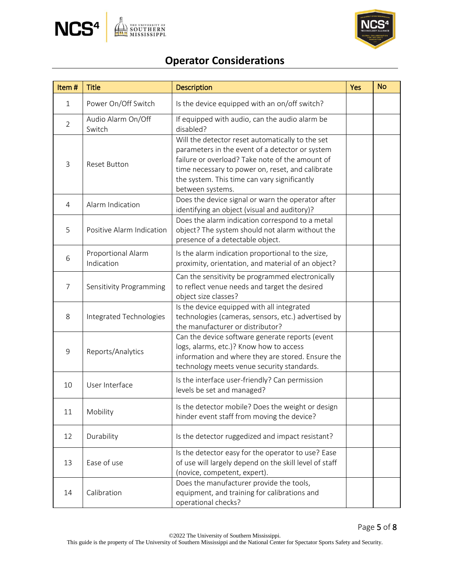



# **Operator Considerations**

| Item#          | <b>Title</b>                     | <b>Description</b>                                                                                                                                                                                                                                                             | Yes | <b>No</b> |
|----------------|----------------------------------|--------------------------------------------------------------------------------------------------------------------------------------------------------------------------------------------------------------------------------------------------------------------------------|-----|-----------|
| $\mathbf{1}$   | Power On/Off Switch              | Is the device equipped with an on/off switch?                                                                                                                                                                                                                                  |     |           |
| $\overline{2}$ | Audio Alarm On/Off<br>Switch     | If equipped with audio, can the audio alarm be<br>disabled?                                                                                                                                                                                                                    |     |           |
| 3              | <b>Reset Button</b>              | Will the detector reset automatically to the set<br>parameters in the event of a detector or system<br>failure or overload? Take note of the amount of<br>time necessary to power on, reset, and calibrate<br>the system. This time can vary significantly<br>between systems. |     |           |
| $\overline{4}$ | Alarm Indication                 | Does the device signal or warn the operator after<br>identifying an object (visual and auditory)?                                                                                                                                                                              |     |           |
| 5              | Positive Alarm Indication        | Does the alarm indication correspond to a metal<br>object? The system should not alarm without the<br>presence of a detectable object.                                                                                                                                         |     |           |
| 6              | Proportional Alarm<br>Indication | Is the alarm indication proportional to the size,<br>proximity, orientation, and material of an object?                                                                                                                                                                        |     |           |
| 7              | Sensitivity Programming          | Can the sensitivity be programmed electronically<br>to reflect venue needs and target the desired<br>object size classes?                                                                                                                                                      |     |           |
| 8              | Integrated Technologies          | Is the device equipped with all integrated<br>technologies (cameras, sensors, etc.) advertised by<br>the manufacturer or distributor?                                                                                                                                          |     |           |
| 9              | Reports/Analytics                | Can the device software generate reports (event<br>logs, alarms, etc.)? Know how to access<br>information and where they are stored. Ensure the<br>technology meets venue security standards.                                                                                  |     |           |
| 10             | User Interface                   | Is the interface user-friendly? Can permission<br>levels be set and managed?                                                                                                                                                                                                   |     |           |
| 11             | Mobility                         | Is the detector mobile? Does the weight or design<br>hinder event staff from moving the device?                                                                                                                                                                                |     |           |
| 12             | Durability                       | Is the detector ruggedized and impact resistant?                                                                                                                                                                                                                               |     |           |
| 13             | Ease of use                      | Is the detector easy for the operator to use? Ease<br>of use will largely depend on the skill level of staff<br>(novice, competent, expert).                                                                                                                                   |     |           |
| 14             | Calibration                      | Does the manufacturer provide the tools,<br>equipment, and training for calibrations and<br>operational checks?                                                                                                                                                                |     |           |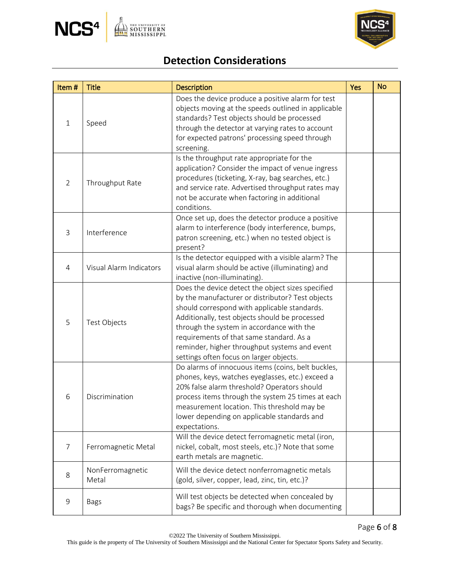



# **Detection Considerations**

| Item#          | <b>Title</b>              | <b>Description</b>                                                                                                                                                                                                                                                                                                                                                                           | <b>Yes</b> | <b>No</b> |
|----------------|---------------------------|----------------------------------------------------------------------------------------------------------------------------------------------------------------------------------------------------------------------------------------------------------------------------------------------------------------------------------------------------------------------------------------------|------------|-----------|
| $\mathbf{1}$   | Speed                     | Does the device produce a positive alarm for test<br>objects moving at the speeds outlined in applicable<br>standards? Test objects should be processed<br>through the detector at varying rates to account<br>for expected patrons' processing speed through<br>screening.                                                                                                                  |            |           |
| $\overline{2}$ | Throughput Rate           | Is the throughput rate appropriate for the<br>application? Consider the impact of venue ingress<br>procedures (ticketing, X-ray, bag searches, etc.)<br>and service rate. Advertised throughput rates may<br>not be accurate when factoring in additional<br>conditions.                                                                                                                     |            |           |
| 3              | Interference              | Once set up, does the detector produce a positive<br>alarm to interference (body interference, bumps,<br>patron screening, etc.) when no tested object is<br>present?                                                                                                                                                                                                                        |            |           |
| $\overline{4}$ | Visual Alarm Indicators   | Is the detector equipped with a visible alarm? The<br>visual alarm should be active (illuminating) and<br>inactive (non-illuminating).                                                                                                                                                                                                                                                       |            |           |
| 5              | Test Objects              | Does the device detect the object sizes specified<br>by the manufacturer or distributor? Test objects<br>should correspond with applicable standards.<br>Additionally, test objects should be processed<br>through the system in accordance with the<br>requirements of that same standard. As a<br>reminder, higher throughput systems and event<br>settings often focus on larger objects. |            |           |
| 6              | Discrimination            | Do alarms of innocuous items (coins, belt buckles,<br>phones, keys, watches eyeglasses, etc.) exceed a<br>20% false alarm threshold? Operators should<br>process items through the system 25 times at each<br>measurement location. This threshold may be<br>lower depending on applicable standards and<br>expectations.                                                                    |            |           |
| 7              | Ferromagnetic Metal       | Will the device detect ferromagnetic metal (iron,<br>nickel, cobalt, most steels, etc.)? Note that some<br>earth metals are magnetic.                                                                                                                                                                                                                                                        |            |           |
| 8              | NonFerromagnetic<br>Metal | Will the device detect nonferromagnetic metals<br>(gold, silver, copper, lead, zinc, tin, etc.)?                                                                                                                                                                                                                                                                                             |            |           |
| $\mathsf 9$    | <b>Bags</b>               | Will test objects be detected when concealed by<br>bags? Be specific and thorough when documenting                                                                                                                                                                                                                                                                                           |            |           |

This guide is the property of The University of Southern Mississippi and the National Center for Spectator Sports Safety and Security.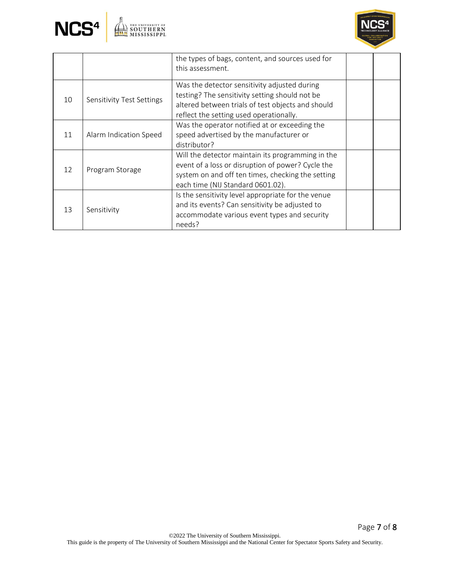



|                 |                           | the types of bags, content, and sources used for<br>this assessment.                                                                                                                             |  |
|-----------------|---------------------------|--------------------------------------------------------------------------------------------------------------------------------------------------------------------------------------------------|--|
| 10              | Sensitivity Test Settings | Was the detector sensitivity adjusted during<br>testing? The sensitivity setting should not be<br>altered between trials of test objects and should<br>reflect the setting used operationally.   |  |
| 11              | Alarm Indication Speed    | Was the operator notified at or exceeding the<br>speed advertised by the manufacturer or<br>distributor?                                                                                         |  |
| 12 <sup>°</sup> | Program Storage           | Will the detector maintain its programming in the<br>event of a loss or disruption of power? Cycle the<br>system on and off ten times, checking the setting<br>each time (NIJ Standard 0601.02). |  |
| 13              | Sensitivity               | Is the sensitivity level appropriate for the venue<br>and its events? Can sensitivity be adjusted to<br>accommodate various event types and security<br>needs?                                   |  |